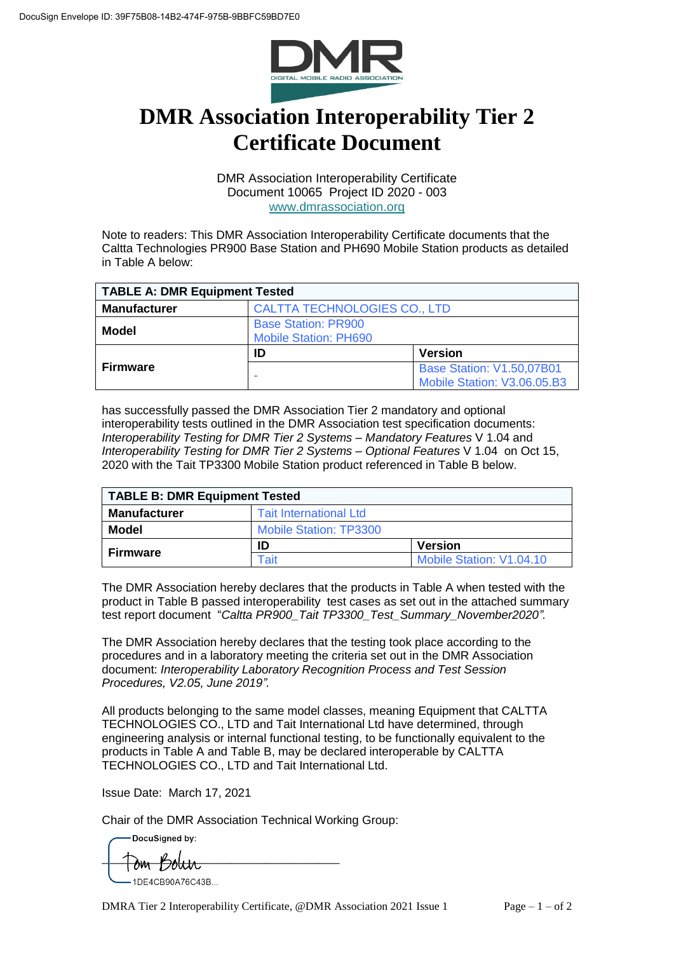

## **DMR Association Interoperability Tier 2 Certificate Document**

DMR Association Interoperability Certificate Document 10065 Project ID 2020 - 003 [www.dmrassociation.org](http://www.dmrassociation.org/)

Note to readers: This DMR Association Interoperability Certificate documents that the Caltta Technologies PR900 Base Station and PH690 Mobile Station products as detailed in Table A below:

| <b>TABLE A: DMR Equipment Tested</b> |                                                            |                                                                 |  |
|--------------------------------------|------------------------------------------------------------|-----------------------------------------------------------------|--|
| <b>Manufacturer</b>                  | <b>CALTTA TECHNOLOGIES CO., LTD</b>                        |                                                                 |  |
| Model                                | <b>Base Station: PR900</b><br><b>Mobile Station: PH690</b> |                                                                 |  |
| <b>Firmware</b>                      | ID                                                         | <b>Version</b>                                                  |  |
|                                      |                                                            | <b>Base Station: V1.50,07B01</b><br>Mobile Station: V3.06.05.B3 |  |

has successfully passed the DMR Association Tier 2 mandatory and optional interoperability tests outlined in the DMR Association test specification documents: *Interoperability Testing for DMR Tier 2 Systems – Mandatory Features* V 1.04 and *Interoperability Testing for DMR Tier 2 Systems – Optional Features* V 1.04 on Oct 15, 2020 with the Tait TP3300 Mobile Station product referenced in Table B below.

| TABLE B: DMR Equipment Tested |                               |                          |  |
|-------------------------------|-------------------------------|--------------------------|--|
| <b>Manufacturer</b>           | <b>Tait International Ltd</b> |                          |  |
| Model                         | <b>Mobile Station: TP3300</b> |                          |  |
| <b>Firmware</b>               | ID                            | <b>Version</b>           |  |
|                               | Tait                          | Mobile Station: V1.04.10 |  |

The DMR Association hereby declares that the products in Table A when tested with the product in Table B passed interoperability test cases as set out in the attached summary test report document "*Caltta PR900\_Tait TP3300\_Test\_Summary\_November2020".*

The DMR Association hereby declares that the testing took place according to the procedures and in a laboratory meeting the criteria set out in the DMR Association document: *Interoperability Laboratory Recognition Process and Test Session Procedures, V2.05, June 2019".* 

All products belonging to the same model classes, meaning Equipment that CALTTA TECHNOLOGIES CO., LTD and Tait International Ltd have determined, through engineering analysis or internal functional testing, to be functionally equivalent to the products in Table A and Table B, may be declared interoperable by CALTTA TECHNOLOGIES CO., LTD and Tait International Ltd.

Issue Date: March 17, 2021

Chair of the DMR Association Technical Working Group:

DocuSianed by:

 $\Box$ 1DF4CB90A76C43B